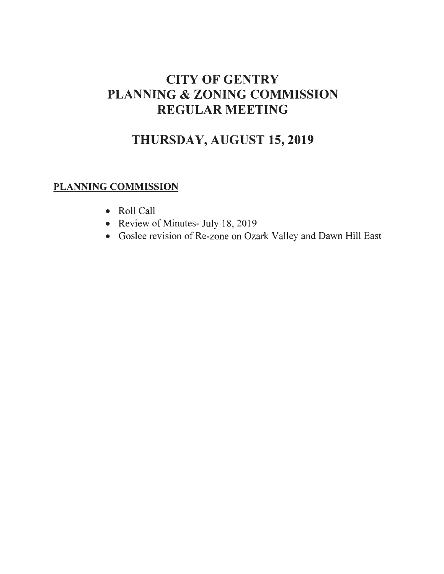# CITY OF GENTRY PLANNING & ZONING COMMISSION REGULAR MEETING

## THURSDAY, AUGUST 15,2019

## PLANNING COMMISSION

- Roll Call
- Review of Minutes- July 18, 2019
- Goslee revision of Re-zone on Ozark Valley and Dawn Hill East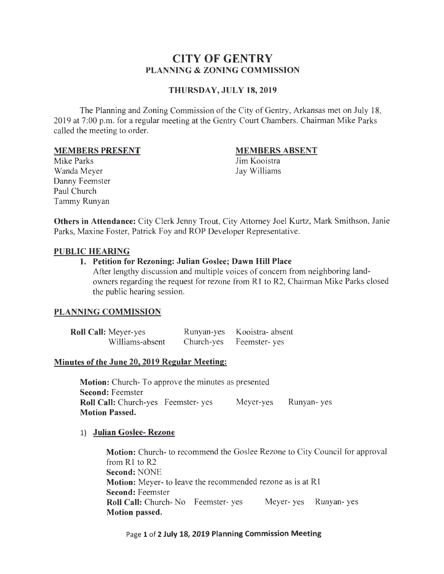### **CITY OF GENTRY PLANNING & ZONING COMMISSION**

#### **THURSDAY, JULY 18, 2019**

The Planning and Zoning Commission of the City of Gentry, Arkansas met on July 18, 2019 at 7:00 p.m. for a regular meeting at the Gentry Court Chambers. Chairman Mike Parks called the meeting to order.

#### **MEMBERS PRESENT**

#### **MEMBERS ABSENT**

Mike Parks Wanda Meyer Jay Williams Danny Feemster Paul Church Tammy Runyan

Jim Kooistra

**Others in Attendance:** City Clerk Jenny Trout, City Attorney Joel Kurtz, Mark Smithson, Janie Parks, Maxine Foster, Patrick Foy and ROP Developer Representative.

#### **PUBLIC HEARING**

#### **1. Petition for Rezoning: Julian Goslee; Dawn Hill Place**

After lengthy discussion and multiple voices of concern from neighboring landowners regarding the request for rezone from R1 to R2, Chairman Mike Parks closed the public hearing session.

#### **PLANNING COMMISSION**

| <b>Roll Call:</b> Meyer-yes | Runyan-yes | Kooistra-absent |
|-----------------------------|------------|-----------------|
| Williams-absent             | Church-yes | Feemster- yes   |

#### **Minutes of the June 20, 2019 Regular Meeting:**

**Motion:** Church- To approve the minutes as presented **Second:** Feemster **Roll Call:** Church-yes Feemster- yes Meyer-yes **Motion Passed.**  Runyan- yes

#### **1) Julian Goslee- Rezone**

**Motion:** Church- to recommend the Goslee Rezone to City Council for approval from R1 to R2 **Second:** NONE **Motion:** Meyer- to leave the recommended rezone as is at Rl **Second:** Feemster **Roll Call:** Church- No Feemster- yes Meyer- yes Runyan- yes **Motion passed.**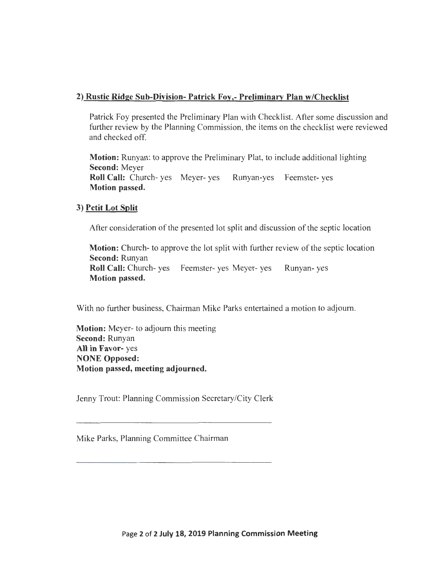#### **2) Rustic Ridge Sub-Division- Patrick Foy,- Preliminary Plan w/Checklist**

Patrick Foy presented the Preliminary Plan with Checklist. After some discussion and further review by the Planning Commission, the items on the checklist were reviewed and checked off.

**Motion:** Runyan: to approve the Preliminary Plat, to include additional lighting **Second:** Meyer **Roll Call:** Church- yes Meyer- yes Runyan-yes Feemster- yes **Motion passed.** 

#### **3) Petit Lot Split**

After consideration of the presented lot split and discussion of the septic location

**Motion:** Church- to approve the lot split with further review of the septic location **Second:** Runyan **Roll Call:** Church- yes Feemster- yes Meyer- yes Runyan- yes **Motion passed.** 

With no further business, Chairman Mike Parks entertained a motion to adjourn.

**Motion:** Meyer- to adjourn this meeting **Second:** Runyan **All in Favor-** yes **NONE Opposed: Motion passed, meeting adjourned.** 

Jenny Trout: Planning Commission Secretary/City Clerk

Mike Parks, Planning Committee Chairman